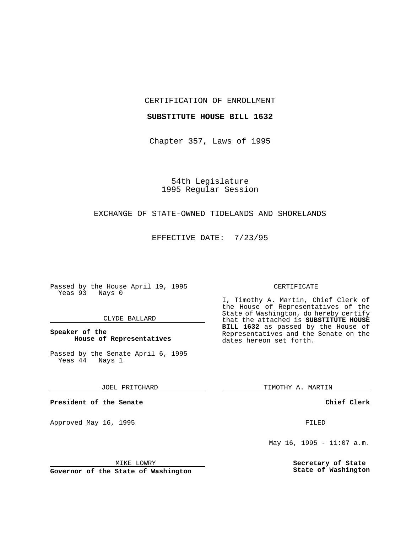CERTIFICATION OF ENROLLMENT

#### **SUBSTITUTE HOUSE BILL 1632**

Chapter 357, Laws of 1995

54th Legislature 1995 Regular Session

## EXCHANGE OF STATE-OWNED TIDELANDS AND SHORELANDS

EFFECTIVE DATE: 7/23/95

Passed by the House April 19, 1995 Yeas 93 Nays 0

## CLYDE BALLARD

## **Speaker of the House of Representatives**

Passed by the Senate April 6, 1995<br>Yeas 44 Nays 1  $Yeas$  44

#### JOEL PRITCHARD

**President of the Senate**

Approved May 16, 1995 **FILED** 

#### MIKE LOWRY

**Governor of the State of Washington**

#### CERTIFICATE

I, Timothy A. Martin, Chief Clerk of the House of Representatives of the State of Washington, do hereby certify that the attached is **SUBSTITUTE HOUSE BILL 1632** as passed by the House of Representatives and the Senate on the dates hereon set forth.

TIMOTHY A. MARTIN

## **Chief Clerk**

May 16, 1995 - 11:07  $a.m.$ 

**Secretary of State State of Washington**